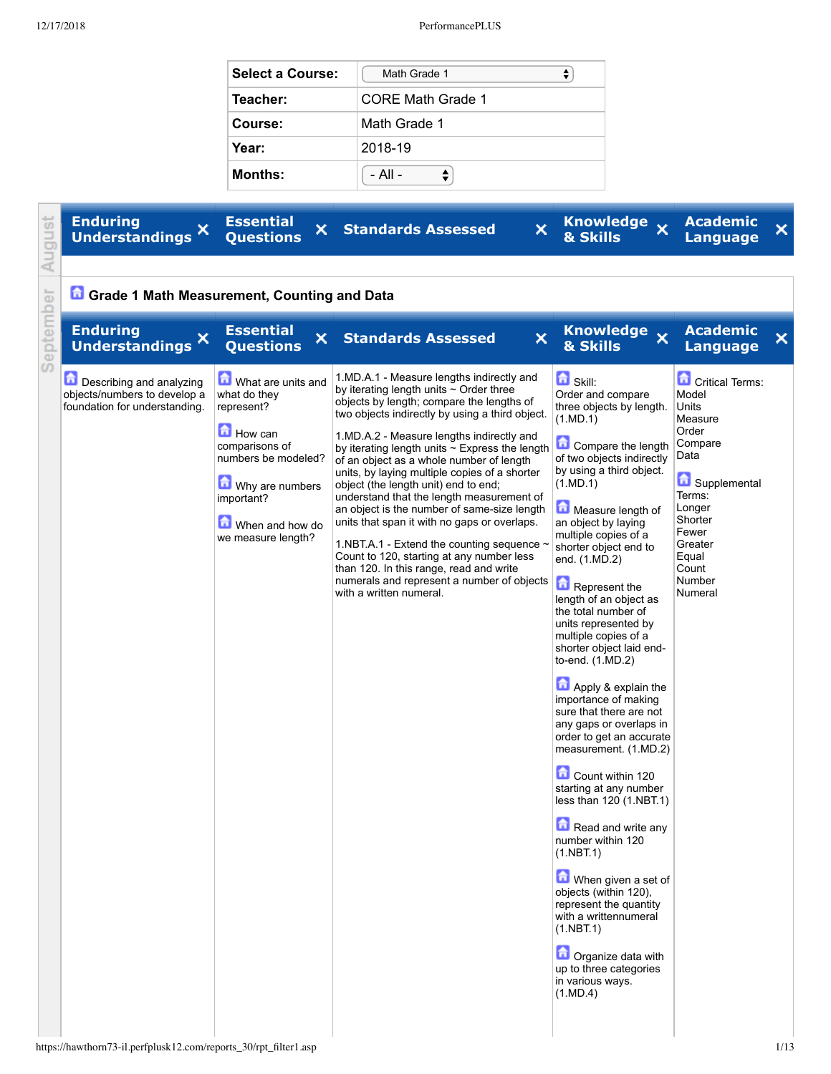| <b>Select a Course:</b> | Math Grade 1      |
|-------------------------|-------------------|
| Teacher:                | CORE Math Grade 1 |
| Course:                 | Math Grade 1      |
| Year:                   | 2018-19           |
| <b>Months:</b>          | - All -           |

| August    | <b>Enduring</b><br>×<br><b>Understandings</b>                                             | <b>Essential</b><br>×<br><b>Questions</b>                                                                                                                                      | ×<br><b>Standards Assessed</b>                                                                                                                                                                                                                                                                                                                                                                                                                                                                                                                                                                                                                                                                                                                                                              | <b>Knowledge</b><br>$\boldsymbol{\mathsf{x}}$<br>& Skills                                                                                                                                                                                                                                                                                                                                                                                                                                                                                                                                                                                                                                                                                                                                                                                                                                                                                                   | <b>Academic</b><br>Language                                                                                                                                                               | × |
|-----------|-------------------------------------------------------------------------------------------|--------------------------------------------------------------------------------------------------------------------------------------------------------------------------------|---------------------------------------------------------------------------------------------------------------------------------------------------------------------------------------------------------------------------------------------------------------------------------------------------------------------------------------------------------------------------------------------------------------------------------------------------------------------------------------------------------------------------------------------------------------------------------------------------------------------------------------------------------------------------------------------------------------------------------------------------------------------------------------------|-------------------------------------------------------------------------------------------------------------------------------------------------------------------------------------------------------------------------------------------------------------------------------------------------------------------------------------------------------------------------------------------------------------------------------------------------------------------------------------------------------------------------------------------------------------------------------------------------------------------------------------------------------------------------------------------------------------------------------------------------------------------------------------------------------------------------------------------------------------------------------------------------------------------------------------------------------------|-------------------------------------------------------------------------------------------------------------------------------------------------------------------------------------------|---|
|           | Grade 1 Math Measurement, Counting and Data                                               |                                                                                                                                                                                |                                                                                                                                                                                                                                                                                                                                                                                                                                                                                                                                                                                                                                                                                                                                                                                             |                                                                                                                                                                                                                                                                                                                                                                                                                                                                                                                                                                                                                                                                                                                                                                                                                                                                                                                                                             |                                                                                                                                                                                           |   |
| September | <b>Enduring</b><br>×<br><b>Understandings</b>                                             | <b>Essential</b><br>×<br><b>Questions</b>                                                                                                                                      | ×<br><b>Standards Assessed</b>                                                                                                                                                                                                                                                                                                                                                                                                                                                                                                                                                                                                                                                                                                                                                              | Knowledge x<br>& Skills                                                                                                                                                                                                                                                                                                                                                                                                                                                                                                                                                                                                                                                                                                                                                                                                                                                                                                                                     | <b>Academic</b><br><b>Language</b>                                                                                                                                                        | × |
|           | Describing and analyzing<br>objects/numbers to develop a<br>foundation for understanding. | What are units and<br>what do they<br>represent?<br>How can<br>comparisons of<br>numbers be modeled?<br>Why are numbers<br>important?<br>When and how do<br>we measure length? | 1.MD.A.1 - Measure lengths indirectly and<br>by iterating length units $\sim$ Order three<br>objects by length; compare the lengths of<br>two objects indirectly by using a third object.<br>1.MD.A.2 - Measure lengths indirectly and<br>by iterating length units $\sim$ Express the length<br>of an object as a whole number of length<br>units, by laying multiple copies of a shorter<br>object (the length unit) end to end;<br>understand that the length measurement of<br>an object is the number of same-size length<br>units that span it with no gaps or overlaps.<br>1.NBT.A.1 - Extend the counting sequence<br>Count to 120, starting at any number less<br>than 120. In this range, read and write<br>numerals and represent a number of objects<br>with a written numeral. | <b>B</b> Skill:<br>Order and compare<br>three objects by length.<br>(1.MD.1)<br>Compare the length<br>of two objects indirectly<br>by using a third object.<br>(1.MD.1)<br>Measure length of<br>an object by laying<br>multiple copies of a<br>shorter object end to<br>end. (1.MD.2)<br>Represent the<br>length of an object as<br>the total number of<br>units represented by<br>multiple copies of a<br>shorter object laid end-<br>to-end. (1.MD.2)<br>Apply & explain the<br>importance of making<br>sure that there are not<br>any gaps or overlaps in<br>order to get an accurate<br>measurement. (1.MD.2)<br>Count within 120<br>starting at any number<br>less than 120 (1.NBT.1)<br>Read and write any<br>number within 120<br>(1.NBT.1)<br>When given a set of<br>objects (within 120),<br>represent the quantity<br>with a writtennumeral<br>(1.NBT.1)<br><b>D</b> Organize data with<br>up to three categories<br>in various ways.<br>(1.MD.4) | Critical Terms:<br>Model<br>Units<br>Measure<br>Order<br>Compare<br>Data<br>Supplemental<br>Terms:<br>Longer<br>Shorter<br>Fewer<br>Greater<br>Equal<br>Count<br><b>Number</b><br>Numeral |   |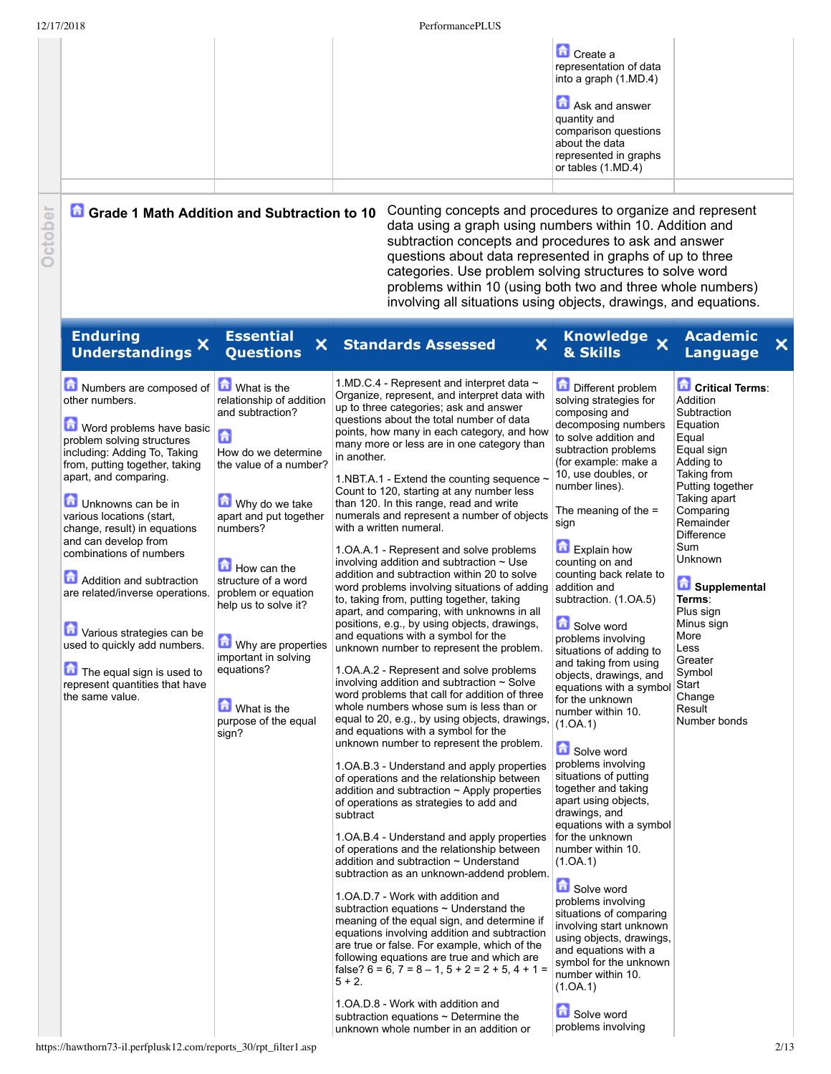|        | 12/17/2018                                                                                                                                                                                                                                                                                                                                                                                                                                                                                                                                         |                                                                                                                                                                                                                                                                                                                                                                            | PerformancePLUS                                                                                                                                                                                                                                                                                                                                                                                                                                                                                                                                                                                                                                                                                                                                                                                                                                                                                                                                                                                                                                                                                                                                                                                                                                                                                                                                                                                                                                                                                                                                                                                                                                                                                                                                                                                                                                                                                                                                                                                                                                                                                                                                                                |                                                                                                                                                                                                                                                                                                                                                                                                                                                                                                                                                                                                                                                                                                                                                                                                                                                                                                                                                                                              |                                                                                                                                                                                                                                                                                                                                                              |
|--------|----------------------------------------------------------------------------------------------------------------------------------------------------------------------------------------------------------------------------------------------------------------------------------------------------------------------------------------------------------------------------------------------------------------------------------------------------------------------------------------------------------------------------------------------------|----------------------------------------------------------------------------------------------------------------------------------------------------------------------------------------------------------------------------------------------------------------------------------------------------------------------------------------------------------------------------|--------------------------------------------------------------------------------------------------------------------------------------------------------------------------------------------------------------------------------------------------------------------------------------------------------------------------------------------------------------------------------------------------------------------------------------------------------------------------------------------------------------------------------------------------------------------------------------------------------------------------------------------------------------------------------------------------------------------------------------------------------------------------------------------------------------------------------------------------------------------------------------------------------------------------------------------------------------------------------------------------------------------------------------------------------------------------------------------------------------------------------------------------------------------------------------------------------------------------------------------------------------------------------------------------------------------------------------------------------------------------------------------------------------------------------------------------------------------------------------------------------------------------------------------------------------------------------------------------------------------------------------------------------------------------------------------------------------------------------------------------------------------------------------------------------------------------------------------------------------------------------------------------------------------------------------------------------------------------------------------------------------------------------------------------------------------------------------------------------------------------------------------------------------------------------|----------------------------------------------------------------------------------------------------------------------------------------------------------------------------------------------------------------------------------------------------------------------------------------------------------------------------------------------------------------------------------------------------------------------------------------------------------------------------------------------------------------------------------------------------------------------------------------------------------------------------------------------------------------------------------------------------------------------------------------------------------------------------------------------------------------------------------------------------------------------------------------------------------------------------------------------------------------------------------------------|--------------------------------------------------------------------------------------------------------------------------------------------------------------------------------------------------------------------------------------------------------------------------------------------------------------------------------------------------------------|
|        |                                                                                                                                                                                                                                                                                                                                                                                                                                                                                                                                                    |                                                                                                                                                                                                                                                                                                                                                                            |                                                                                                                                                                                                                                                                                                                                                                                                                                                                                                                                                                                                                                                                                                                                                                                                                                                                                                                                                                                                                                                                                                                                                                                                                                                                                                                                                                                                                                                                                                                                                                                                                                                                                                                                                                                                                                                                                                                                                                                                                                                                                                                                                                                | Create a<br>representation of data<br>into a graph (1.MD.4)<br>Ask and answer<br>quantity and<br>comparison questions<br>about the data<br>represented in graphs<br>or tables (1.MD.4)                                                                                                                                                                                                                                                                                                                                                                                                                                                                                                                                                                                                                                                                                                                                                                                                       |                                                                                                                                                                                                                                                                                                                                                              |
| ctober | 鱼<br><b>Grade 1 Math Addition and Subtraction to 10</b>                                                                                                                                                                                                                                                                                                                                                                                                                                                                                            |                                                                                                                                                                                                                                                                                                                                                                            | Counting concepts and procedures to organize and represent<br>data using a graph using numbers within 10. Addition and<br>subtraction concepts and procedures to ask and answer<br>questions about data represented in graphs of up to three<br>categories. Use problem solving structures to solve word<br>problems within 10 (using both two and three whole numbers)<br>involving all situations using objects, drawings, and equations.                                                                                                                                                                                                                                                                                                                                                                                                                                                                                                                                                                                                                                                                                                                                                                                                                                                                                                                                                                                                                                                                                                                                                                                                                                                                                                                                                                                                                                                                                                                                                                                                                                                                                                                                    |                                                                                                                                                                                                                                                                                                                                                                                                                                                                                                                                                                                                                                                                                                                                                                                                                                                                                                                                                                                              |                                                                                                                                                                                                                                                                                                                                                              |
|        | <b>Enduring</b><br>Understandings <sup>X</sup>                                                                                                                                                                                                                                                                                                                                                                                                                                                                                                     | <b>Essential</b><br>×<br><b>Ouestions</b>                                                                                                                                                                                                                                                                                                                                  | ×<br><b>Standards Assessed</b>                                                                                                                                                                                                                                                                                                                                                                                                                                                                                                                                                                                                                                                                                                                                                                                                                                                                                                                                                                                                                                                                                                                                                                                                                                                                                                                                                                                                                                                                                                                                                                                                                                                                                                                                                                                                                                                                                                                                                                                                                                                                                                                                                 | Knowledge x<br>& Skills                                                                                                                                                                                                                                                                                                                                                                                                                                                                                                                                                                                                                                                                                                                                                                                                                                                                                                                                                                      | <b>Academic</b><br>Language                                                                                                                                                                                                                                                                                                                                  |
|        | Numbers are composed of<br>other numbers.<br>Word problems have basic<br>problem solving structures<br>including: Adding To, Taking<br>from, putting together, taking<br>apart, and comparing.<br>Unknowns can be in<br>various locations (start,<br>change, result) in equations<br>and can develop from<br>combinations of numbers<br>Addition and subtraction<br>are related/inverse operations.<br>Various strategies can be<br>used to quickly add numbers.<br>The equal sign is used to<br>represent quantities that have<br>the same value. | What is the<br>relationship of addition<br>and subtraction?<br>6<br>How do we determine<br>the value of a number?<br>Why do we take<br>apart and put together<br>numbers?<br>How can the<br>structure of a word<br>problem or equation<br>help us to solve it?<br>Why are properties<br>important in solving<br>equations?<br>What is the<br>purpose of the equal<br>sign? | 1.MD.C.4 - Represent and interpret data ~<br>Organize, represent, and interpret data with<br>up to three categories; ask and answer<br>questions about the total number of data<br>points, how many in each category, and how<br>many more or less are in one category than<br>in another.<br>1.NBT.A.1 - Extend the counting sequence -<br>Count to 120, starting at any number less<br>than 120. In this range, read and write<br>numerals and represent a number of objects<br>with a written numeral.<br>1. OA. A. 1 - Represent and solve problems<br>involving addition and subtraction $\sim$ Use<br>addition and subtraction within 20 to solve<br>word problems involving situations of adding addition and<br>to, taking from, putting together, taking<br>apart, and comparing, with unknowns in all<br>positions, e.g., by using objects, drawings,<br>and equations with a symbol for the<br>unknown number to represent the problem.<br>1.OA.A.2 - Represent and solve problems<br>involving addition and subtraction $\sim$ Solve<br>word problems that call for addition of three<br>whole numbers whose sum is less than or<br>equal to 20, e.g., by using objects, drawings,<br>and equations with a symbol for the<br>unknown number to represent the problem.<br>1.OA.B.3 - Understand and apply properties<br>of operations and the relationship between<br>addition and subtraction $\sim$ Apply properties<br>of operations as strategies to add and<br>subtract<br>1. OA. B. 4 - Understand and apply properties<br>of operations and the relationship between<br>addition and subtraction $\sim$ Understand<br>subtraction as an unknown-addend problem.<br>1. OA.D. 7 - Work with addition and<br>subtraction equations $\sim$ Understand the<br>meaning of the equal sign, and determine if<br>equations involving addition and subtraction<br>are true or false. For example, which of the<br>following equations are true and which are<br>false? $6 = 6$ , $7 = 8 - 1$ , $5 + 2 = 2 + 5$ , $4 + 1 =$<br>$5 + 2.$<br>1. OA. D. 8 - Work with addition and<br>subtraction equations $\sim$ Determine the<br>unknown whole number in an addition or | Different problem<br>solving strategies for<br>composing and<br>decomposing numbers<br>to solve addition and<br>subtraction problems<br>(for example: make a<br>10, use doubles, or<br>number lines).<br>The meaning of the $=$<br>sign<br>Explain how<br>counting on and<br>counting back relate to<br>subtraction. (1.OA.5)<br>◚<br>Solve word<br>problems involving<br>situations of adding to<br>and taking from using<br>objects, drawings, and<br>equations with a symbol<br>for the unknown<br>number within 10.<br>(1.0A.1)<br>Solve word<br>problems involving<br>situations of putting<br>together and taking<br>apart using objects,<br>drawings, and<br>equations with a symbol<br>for the unknown<br>number within 10.<br>(1.0A.1)<br>Solve word<br>problems involving<br>situations of comparing<br>involving start unknown<br>using objects, drawings,<br>and equations with a<br>symbol for the unknown<br>number within 10.<br>(1.0A.1)<br>Solve word<br>problems involving | <b>Critical Terms:</b><br>Addition<br>Subtraction<br>Equation<br>Equal<br>Equal sign<br>Adding to<br>Taking from<br>Putting together<br>Taking apart<br>Comparing<br>Remainder<br><b>Difference</b><br>Sum<br>Unknown<br>Supplemental<br>Terms:<br>Plus sign<br>Minus sign<br>More<br>Less<br>Greater<br>Symbol<br>Start<br>Change<br>Result<br>Number bonds |
|        | https://hawthorn73-il.perfplusk12.com/reports_30/rpt_filter1.asp                                                                                                                                                                                                                                                                                                                                                                                                                                                                                   |                                                                                                                                                                                                                                                                                                                                                                            |                                                                                                                                                                                                                                                                                                                                                                                                                                                                                                                                                                                                                                                                                                                                                                                                                                                                                                                                                                                                                                                                                                                                                                                                                                                                                                                                                                                                                                                                                                                                                                                                                                                                                                                                                                                                                                                                                                                                                                                                                                                                                                                                                                                |                                                                                                                                                                                                                                                                                                                                                                                                                                                                                                                                                                                                                                                                                                                                                                                                                                                                                                                                                                                              | 2/13                                                                                                                                                                                                                                                                                                                                                         |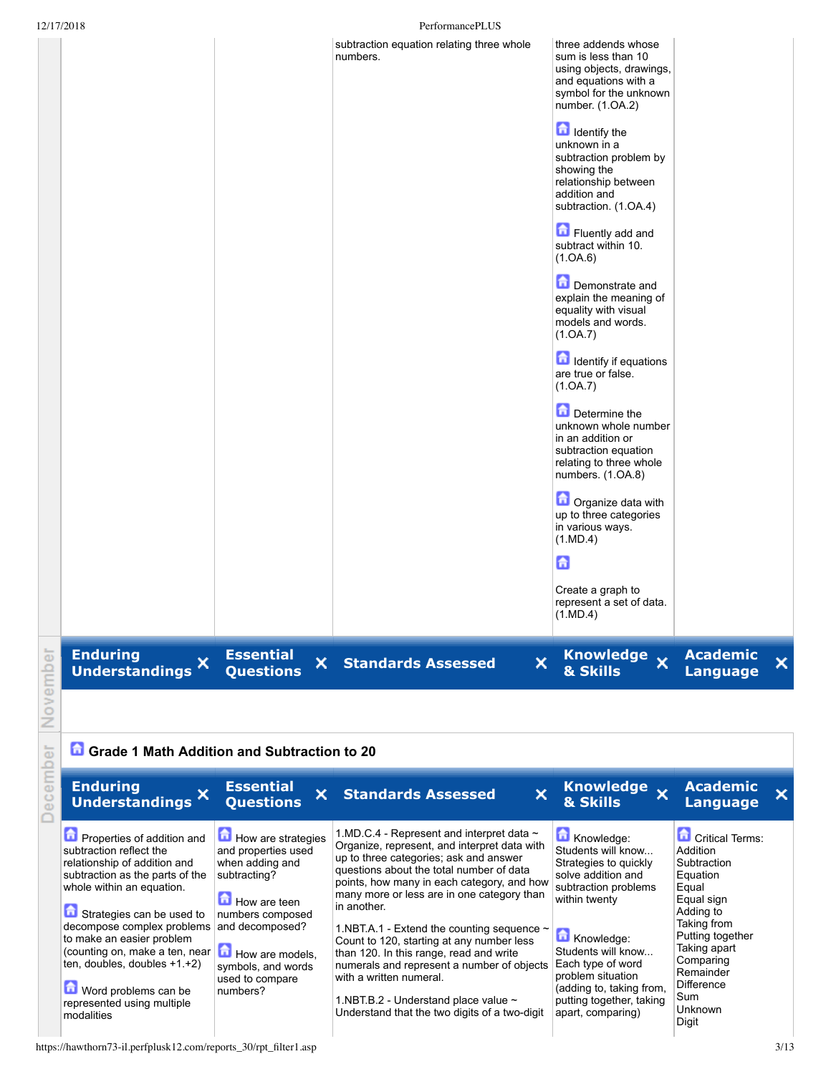|          | 12/17/2018                                                                                                                                             |                                                                                                 | PerformancePLUS                                                                                                                                                                                                                                                                                 |                                                                                                                                                 |                                                                                            |                         |
|----------|--------------------------------------------------------------------------------------------------------------------------------------------------------|-------------------------------------------------------------------------------------------------|-------------------------------------------------------------------------------------------------------------------------------------------------------------------------------------------------------------------------------------------------------------------------------------------------|-------------------------------------------------------------------------------------------------------------------------------------------------|--------------------------------------------------------------------------------------------|-------------------------|
|          |                                                                                                                                                        |                                                                                                 | subtraction equation relating three whole<br>numbers.                                                                                                                                                                                                                                           | three addends whose<br>sum is less than 10<br>using objects, drawings,<br>and equations with a<br>symbol for the unknown<br>number. (1.OA.2)    |                                                                                            |                         |
|          |                                                                                                                                                        |                                                                                                 |                                                                                                                                                                                                                                                                                                 | <b>d</b> Identify the<br>unknown in a<br>subtraction problem by<br>showing the<br>relationship between<br>addition and<br>subtraction. (1.OA.4) |                                                                                            |                         |
|          |                                                                                                                                                        |                                                                                                 |                                                                                                                                                                                                                                                                                                 | Fluently add and<br>subtract within 10.<br>(1.0A.6)                                                                                             |                                                                                            |                         |
|          |                                                                                                                                                        |                                                                                                 |                                                                                                                                                                                                                                                                                                 | Demonstrate and<br>explain the meaning of<br>equality with visual<br>models and words.<br>(1.0A.7)                                              |                                                                                            |                         |
|          |                                                                                                                                                        |                                                                                                 |                                                                                                                                                                                                                                                                                                 | Identify if equations<br>are true or false.<br>(1.0A.7)                                                                                         |                                                                                            |                         |
|          |                                                                                                                                                        |                                                                                                 |                                                                                                                                                                                                                                                                                                 | Determine the<br>unknown whole number<br>in an addition or<br>subtraction equation<br>relating to three whole<br>numbers. (1.OA.8)              |                                                                                            |                         |
|          |                                                                                                                                                        |                                                                                                 |                                                                                                                                                                                                                                                                                                 | <b>D</b> Organize data with<br>up to three categories<br>in various ways.<br>(1.MD.4)                                                           |                                                                                            |                         |
|          |                                                                                                                                                        |                                                                                                 |                                                                                                                                                                                                                                                                                                 | 6<br>Create a graph to<br>represent a set of data.<br>(1.MD.4)                                                                                  |                                                                                            |                         |
| ovember  | <b>Enduring</b><br>×<br><b>Understandings</b>                                                                                                          | <b>Essential</b><br>×<br><b>Questions</b>                                                       | $\mathsf{x}$<br><b>Standards Assessed</b>                                                                                                                                                                                                                                                       | Knowledge X<br>& Skills                                                                                                                         | <b>Academic</b><br><b>Language</b>                                                         | $\overline{\mathsf{x}}$ |
| Ż        |                                                                                                                                                        |                                                                                                 |                                                                                                                                                                                                                                                                                                 |                                                                                                                                                 |                                                                                            |                         |
|          | Grade 1 Math Addition and Subtraction to 20                                                                                                            |                                                                                                 |                                                                                                                                                                                                                                                                                                 |                                                                                                                                                 |                                                                                            |                         |
| December | <b>Enduring</b><br>×<br><b>Understandings</b>                                                                                                          | <b>Essential</b><br>×<br><b>Questions</b>                                                       | ×<br><b>Standards Assessed</b>                                                                                                                                                                                                                                                                  | Knowledge x<br>& Skills                                                                                                                         | <b>Academic</b><br><b>Language</b>                                                         | ×                       |
|          | Properties of addition and<br>subtraction reflect the<br>relationship of addition and<br>subtraction as the parts of the<br>whole within an equation.  | How are strategies<br>and properties used<br>when adding and<br>subtracting?<br>How are teen    | 1.MD.C.4 - Represent and interpret data $\sim$<br>Organize, represent, and interpret data with<br>up to three categories; ask and answer<br>questions about the total number of data<br>points, how many in each category, and how<br>many more or less are in one category than<br>in another. | Knowledge:<br>Students will know<br>Strategies to quickly<br>solve addition and<br>subtraction problems<br>within twenty                        | Critical Terms:<br>Addition<br>Subtraction<br>Equation<br>Equal<br>Equal sign<br>Adding to |                         |
|          | Strategies can be used to<br>decompose complex problems<br>to make an easier problem<br>(counting on, make a ten, near<br>ten, doubles, doubles +1.+2) | numbers composed<br>and decomposed?<br>How are models,<br>symbols, and words<br>used to compare | 1.NBT.A.1 - Extend the counting sequence $\sim$<br>Count to 120, starting at any number less<br>than 120. In this range, read and write<br>numerals and represent a number of objects<br>with a written numeral.                                                                                | Knowledge:<br>Students will know<br>Each type of word<br>problem situation                                                                      | Taking from<br>Putting together<br>Taking apart<br>Comparing<br>Remainder<br>∩:".          |                         |

1.NBT.B.2 - Understand place value  $\sim$ Understand that the two digits of a two-digit

numbers?

Word problems can be represented using multiple

modalities

(adding to, taking from, putting together, taking apart, comparing)

Difference Sum Unknown Digit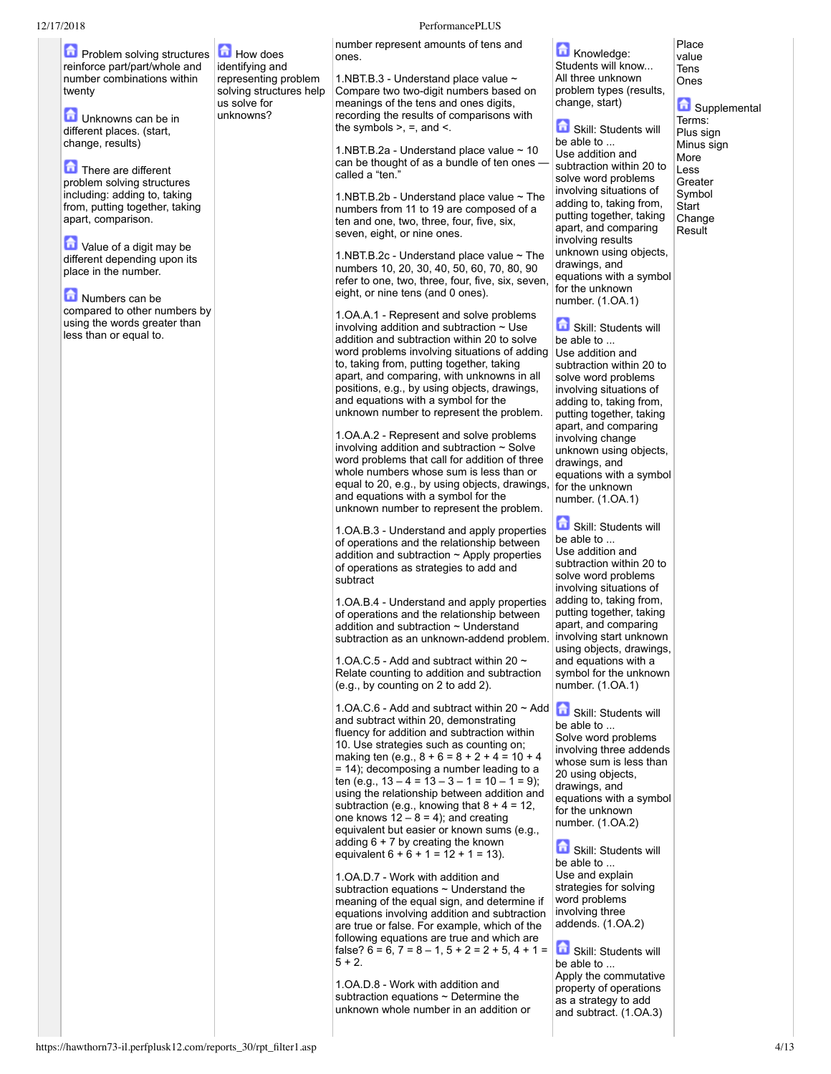12/17/2018 PerformancePLUS **D** Problem solving structures reinforce part/part/whole and number combinations within twenty **Unknowns can be in** different places. (start, change, results) **There are different** problem solving structures including: adding to, taking from, putting together, taking apart, comparison. Value of a digit may be different depending upon its place in the number. Numbers can be compared to other numbers by using the words greater than less than or equal to. How does identifying and representing problem solving structures help us solve for unknowns? number represent amounts of tens and ones. 1.NBT.B.3 - Understand place value  $\sim$ Compare two two-digit numbers based on meanings of the tens and ones digits, recording the results of comparisons with the symbols  $>$ ,  $=$ , and  $<$ . 1.NBT.B.2a - Understand place value  $\sim$  10 can be thought of as a bundle of ten ones called a "ten." 1.NBT.B.2b - Understand place value  $\sim$  The numbers from 11 to 19 are composed of a ten and one, two, three, four, five, six, seven, eight, or nine ones. 1.NBT.B.2c - Understand place value  $\sim$  The numbers 10, 20, 30, 40, 50, 60, 70, 80, 90 refer to one, two, three, four, five, six, seven, eight, or nine tens (and 0 ones). 1.OA.A.1 Represent and solve problems involving addition and subtraction  $\sim$  Use addition and subtraction within 20 to solve word problems involving situations of adding to, taking from, putting together, taking apart, and comparing, with unknowns in all positions, e.g., by using objects, drawings, and equations with a symbol for the unknown number to represent the problem. 1.OA.A.2 - Represent and solve problems involving addition and subtraction  $\sim$  Solve word problems that call for addition of three whole numbers whose sum is less than or equal to 20, e.g., by using objects, drawings, and equations with a symbol for the unknown number to represent the problem. 1.OA.B.3 Understand and apply properties of operations and the relationship between addition and subtraction  $\sim$  Apply properties of operations as strategies to add and subtract 1.OA.B.4 Understand and apply properties of operations and the relationship between addition and subtraction ~ Understand subtraction as an unknown-addend problem 1.OA.C.5 - Add and subtract within 20  $\sim$ Relate counting to addition and subtraction (e.g., by counting on 2 to add 2). 1.OA.C.6 - Add and subtract within 20  $\sim$  Add  $\left| \bigcap_{i=1}^{\infty}$  Skill: Students will and subtract within 20, demonstrating fluency for addition and subtraction within 10. Use strategies such as counting on; making ten (e.g.,  $8 + 6 = 8 + 2 + 4 = 10 + 4$ = 14); decomposing a number leading to a ten (e.g.,  $13 - 4 = 13 - 3 - 1 = 10 - 1 = 9$ ); using the relationship between addition and subtraction (e.g., knowing that  $8 + 4 = 12$ , one knows  $12 - 8 = 4$ ); and creating equivalent but easier or known sums (e.g., adding  $6 + 7$  by creating the known equivalent  $6 + 6 + 1 = 12 + 1 = 13$ . 1.OA.D.7 - Work with addition and subtraction equations  $\sim$  Understand the meaning of the equal sign, and determine if equations involving addition and subtraction are true or false. For example, which of the following equations are true and which are false?  $6 = 6$ ,  $7 = 8 - 1$ ,  $5 + 2 = 2 + 5$ ,  $4 + 1 =$  $5 + 2.$ 

1.OA.D.8 - Work with addition and subtraction equations ~ Determine the unknown whole number in an addition or

**Knowledge:** Students will know... All three unknown problem types (results, change, start)

Skill: Students will

be able to ... Use addition and subtraction within 20 to solve word problems involving situations of adding to, taking from, putting together, taking apart, and comparing involving results unknown using objects, drawings, and equations with a symbol for the unknown number. (1.OA.1)

Place value Tens Ones

**G** Supplemental Terms: Plus sign Minus sign More Less **Greater** Symbol **Start** Change Result

Skill: Students will be able to ... Use addition and subtraction within 20 to solve word problems involving situations of adding to, taking from, putting together, taking apart, and comparing involving change unknown using objects, drawings, and equations with a symbol for the unknown number. (1.OA.1)

Skill: Students will be able to ... Use addition and subtraction within 20 to solve word problems involving situations of adding to, taking from, putting together, taking apart, and comparing involving start unknown using objects, drawings, and equations with a symbol for the unknown number. (1.OA.1)

be able to ... Solve word problems involving three addends whose sum is less than 20 using objects, drawings, and equations with a symbol for the unknown number. (1.OA.2)

Skill: Students will be able to ... Use and explain strategies for solving word problems involving three addends. (1.OA.2)

Skill: Students will be able to ... Apply the commutative property of operations as a strategy to add and subtract. (1.OA.3)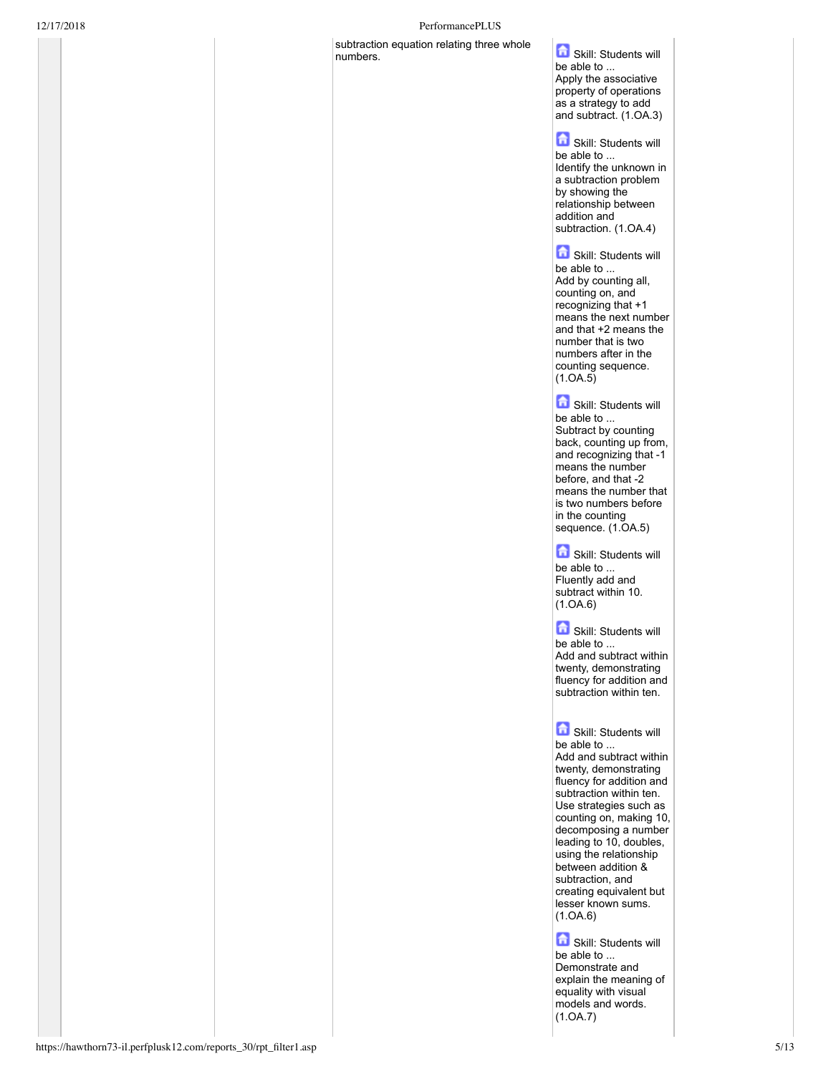## 12/17/2018 PerformancePLUS

subtraction equation relating three whole subtraction equation relating three whole **Containers** Skill: Students will

be able to ... Apply the associative property of operations as a strategy to add and subtract. (1.OA.3)

Skill: Students will be able to ... Identify the unknown in a subtraction problem by showing the relationship between addition and subtraction. (1.OA.4)

Skill: Students will be able to ... Add by counting all, counting on, and recognizing that +1 means the next number and that +2 means the number that is two numbers after in the counting sequence. (1.OA.5)

Skill: Students will be able to ... Subtract by counting back, counting up from, and recognizing that -1 means the number before, and that -2 means the number that is two numbers before in the counting sequence. (1.OA.5)

Skill: Students will be able to ... Fluently add and subtract within 10. (1.OA.6)

Skill: Students will be able to ... Add and subtract within twenty, demonstrating fluency for addition and

subtraction within ten.

**G** Skill: Students will be able to ... Add and subtract within twenty, demonstrating fluency for addition and subtraction within ten. Use strategies such as counting on, making 10, decomposing a number leading to 10, doubles, using the relationship between addition & subtraction, and creating equivalent but lesser known sums. (1.OA.6)

Skill: Students will be able to ... Demonstrate and explain the meaning of equality with visual models and words. (1.OA.7)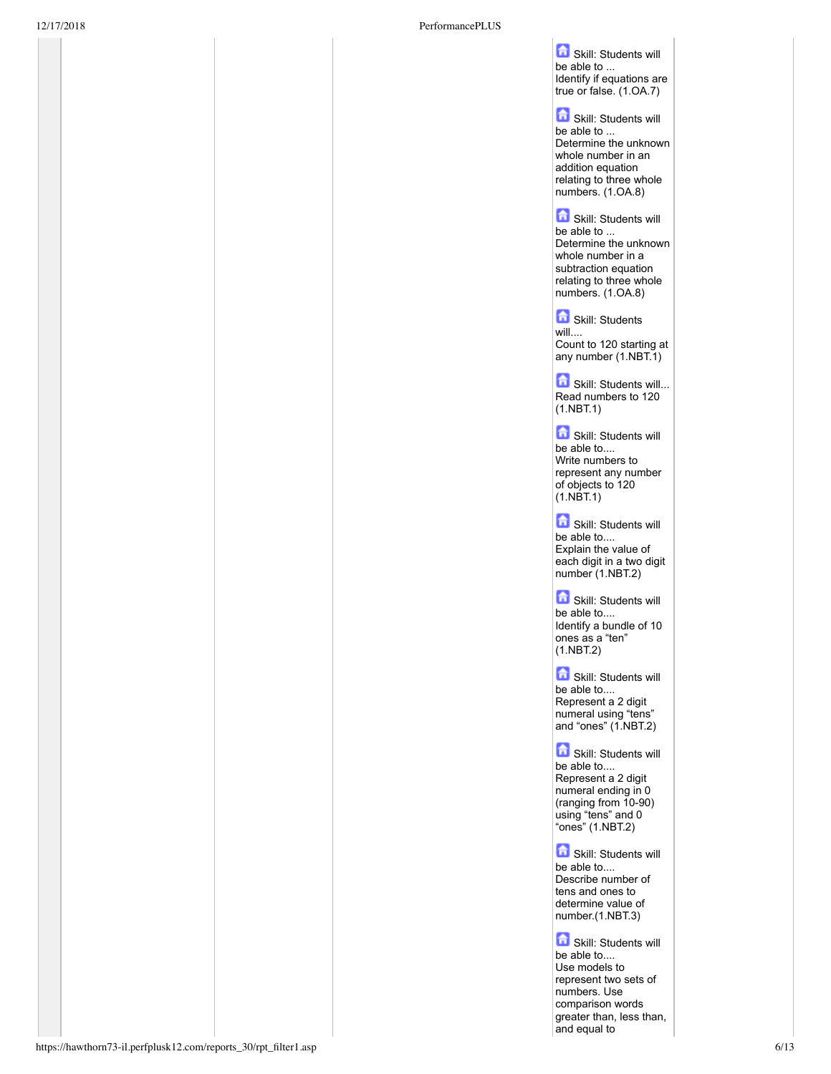Skill: Students will be able to ... Identify if equations are true or false. (1.OA.7)

Skill: Students will he able to ... Determine the unknown whole number in an addition equation relating to three whole numbers. (1.OA.8)

Skill: Students will be able to ... Determine the unknown whole number in a subtraction equation relating to three whole numbers. (1.OA.8)

Skill: Students

will.... Count to 120 starting at any number (1.NBT.1)

Skill: Students will... Read numbers to 120  $(1.NBT.1)$ 

Skill: Students will be able to.... Write numbers to represent any number of objects to 120 (1.NBT.1)

Skill: Students will be able to.... Explain the value of each digit in a two digit number (1.NBT.2)

Skill: Students will be able to.... Identify a bundle of 10 ones as a "ten" (1.NBT.2)

Skill: Students will be able to.... Represent a 2 digit numeral using "tens" and "ones" (1.NBT.2)

**G** Skill: Students will be able to.... Represent a 2 digit numeral ending in 0  $($ ranging from  $10-90)$ using "tens" and 0 "ones" (1.NBT.2)

Skill: Students will be able to.... Describe number of tens and ones to determine value of number.(1.NBT.3)

Skill: Students will be able to.... Use models to represent two sets of numbers. Use comparison words greater than, less than, and equal to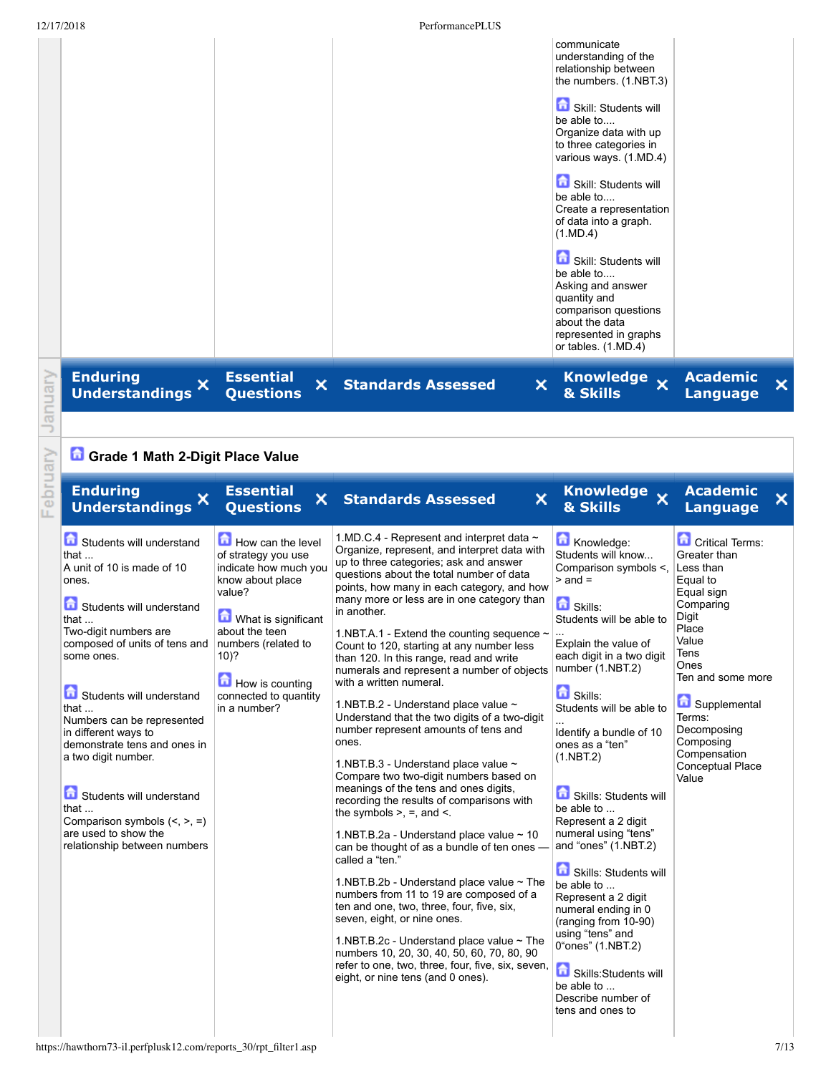|              | 12/17/2018                                                                                                                                                                                                                                                                                                                                                                                                                                                                                                 |                                                                                                                                                                                                                                                 | PerformancePLUS                                                                                                                                                                                                                                                                                                                                                                                                                                                                                                                                                                                                                                                                                                                                                                                                                                                                                                                                                                                                                                                                                                                                                                                                                                                                                                                                                           |                                                                                                                                                                                                                                                                                                                                                                                                                                                                                                                                                                                                                                              |                                                                                                                                                                                                                                                               |   |
|--------------|------------------------------------------------------------------------------------------------------------------------------------------------------------------------------------------------------------------------------------------------------------------------------------------------------------------------------------------------------------------------------------------------------------------------------------------------------------------------------------------------------------|-------------------------------------------------------------------------------------------------------------------------------------------------------------------------------------------------------------------------------------------------|---------------------------------------------------------------------------------------------------------------------------------------------------------------------------------------------------------------------------------------------------------------------------------------------------------------------------------------------------------------------------------------------------------------------------------------------------------------------------------------------------------------------------------------------------------------------------------------------------------------------------------------------------------------------------------------------------------------------------------------------------------------------------------------------------------------------------------------------------------------------------------------------------------------------------------------------------------------------------------------------------------------------------------------------------------------------------------------------------------------------------------------------------------------------------------------------------------------------------------------------------------------------------------------------------------------------------------------------------------------------------|----------------------------------------------------------------------------------------------------------------------------------------------------------------------------------------------------------------------------------------------------------------------------------------------------------------------------------------------------------------------------------------------------------------------------------------------------------------------------------------------------------------------------------------------------------------------------------------------------------------------------------------------|---------------------------------------------------------------------------------------------------------------------------------------------------------------------------------------------------------------------------------------------------------------|---|
|              |                                                                                                                                                                                                                                                                                                                                                                                                                                                                                                            |                                                                                                                                                                                                                                                 |                                                                                                                                                                                                                                                                                                                                                                                                                                                                                                                                                                                                                                                                                                                                                                                                                                                                                                                                                                                                                                                                                                                                                                                                                                                                                                                                                                           | communicate<br>understanding of the<br>relationship between<br>the numbers. (1.NBT.3)<br>Skill: Students will<br>be able to<br>Organize data with up<br>to three categories in<br>various ways. (1.MD.4)<br>Skill: Students will<br>be able to<br>Create a representation<br>of data into a graph.<br>(1.MD.4)<br>Skill: Students will<br>be able to<br>Asking and answer<br>quantity and<br>comparison questions<br>about the data<br>represented in graphs<br>or tables. (1.MD.4)                                                                                                                                                          |                                                                                                                                                                                                                                                               |   |
| anuary       | <b>Enduring</b><br><b>Understandings X</b>                                                                                                                                                                                                                                                                                                                                                                                                                                                                 | <b>Essential</b><br>×<br><b>Questions</b>                                                                                                                                                                                                       | $\boldsymbol{\mathsf{x}}$<br><b>Standards Assessed</b>                                                                                                                                                                                                                                                                                                                                                                                                                                                                                                                                                                                                                                                                                                                                                                                                                                                                                                                                                                                                                                                                                                                                                                                                                                                                                                                    | <b>Knowledge</b><br>$\overline{\mathbf{x}}$<br>& Skills                                                                                                                                                                                                                                                                                                                                                                                                                                                                                                                                                                                      | <b>Academic</b><br><b>Language</b>                                                                                                                                                                                                                            | × |
|              |                                                                                                                                                                                                                                                                                                                                                                                                                                                                                                            |                                                                                                                                                                                                                                                 |                                                                                                                                                                                                                                                                                                                                                                                                                                                                                                                                                                                                                                                                                                                                                                                                                                                                                                                                                                                                                                                                                                                                                                                                                                                                                                                                                                           |                                                                                                                                                                                                                                                                                                                                                                                                                                                                                                                                                                                                                                              |                                                                                                                                                                                                                                                               |   |
|              | Grade 1 Math 2-Digit Place Value                                                                                                                                                                                                                                                                                                                                                                                                                                                                           |                                                                                                                                                                                                                                                 |                                                                                                                                                                                                                                                                                                                                                                                                                                                                                                                                                                                                                                                                                                                                                                                                                                                                                                                                                                                                                                                                                                                                                                                                                                                                                                                                                                           |                                                                                                                                                                                                                                                                                                                                                                                                                                                                                                                                                                                                                                              |                                                                                                                                                                                                                                                               |   |
| ebruary<br>щ | <b>Enduring</b><br><b>Understandings</b>                                                                                                                                                                                                                                                                                                                                                                                                                                                                   | <b>Essential</b><br>×.<br><b>Questions</b>                                                                                                                                                                                                      | $\mathsf{x}$<br><b>Standards Assessed</b>                                                                                                                                                                                                                                                                                                                                                                                                                                                                                                                                                                                                                                                                                                                                                                                                                                                                                                                                                                                                                                                                                                                                                                                                                                                                                                                                 | <b>Knowledge</b><br>$\overline{\mathbf{x}}$<br>& Skills                                                                                                                                                                                                                                                                                                                                                                                                                                                                                                                                                                                      | <b>Academic</b><br><b>Language</b>                                                                                                                                                                                                                            | × |
|              | Students will understand<br>that $\dots$<br>A unit of 10 is made of 10<br>ones.<br>Students will understand<br>that $\ldots$<br>Two-digit numbers are<br>composed of units of tens and<br>some ones.<br>Students will understand<br>that $\ldots$<br>Numbers can be represented<br>in different ways to<br>demonstrate tens and ones in<br>a two digit number.<br>۶<br>Students will understand<br>that $\ldots$<br>Comparison symbols $(<, >, =)$<br>are used to show the<br>relationship between numbers | How can the level<br>of strategy you use<br>indicate how much you<br>know about place<br>value?<br><b>O</b> What is significant<br>about the teen<br>numbers (related to<br>$10)$ ?<br>How is counting<br>connected to quantity<br>in a number? | 1.MD.C.4 - Represent and interpret data $\sim$<br>Organize, represent, and interpret data with<br>up to three categories; ask and answer<br>questions about the total number of data<br>points, how many in each category, and how<br>many more or less are in one category than<br>in another.<br>1.NBT.A.1 - Extend the counting sequence ~<br>Count to 120, starting at any number less<br>than 120. In this range, read and write<br>numerals and represent a number of objects number (1.NBT.2)<br>with a written numeral.<br>1.NBT.B.2 - Understand place value $\sim$<br>Understand that the two digits of a two-digit<br>number represent amounts of tens and<br>ones.<br>1.NBT.B.3 - Understand place value ~<br>Compare two two-digit numbers based on<br>meanings of the tens and ones digits,<br>recording the results of comparisons with<br>the symbols $>$ , $=$ , and $\le$ .<br>1.NBT.B.2a - Understand place value ~ 10<br>can be thought of as a bundle of ten ones -<br>called a "ten."<br>1.NBT.B.2b - Understand place value ~ The<br>numbers from 11 to 19 are composed of a<br>ten and one, two, three, four, five, six,<br>seven, eight, or nine ones.<br>1.NBT.B.2c - Understand place value $\sim$ The<br>numbers 10, 20, 30, 40, 50, 60, 70, 80, 90<br>refer to one, two, three, four, five, six, seven,<br>eight, or nine tens (and 0 ones). | Knowledge:<br>Students will know<br>Comparison symbols <,<br>$>$ and $=$<br><b>B</b> Skills:<br>Students will be able to<br>Explain the value of<br>each digit in a two digit<br><b>G</b> Skills:<br>Students will be able to<br>Identify a bundle of 10<br>ones as a "ten"<br>(1.NBT.2)<br>Skills: Students will<br>be able to<br>Represent a 2 digit<br>numeral using "tens"<br>and "ones" (1.NBT.2)<br>Skills: Students will<br>be able to<br>Represent a 2 digit<br>numeral ending in 0<br>(ranging from 10-90)<br>using "tens" and<br>0"ones" (1.NBT.2)<br>Skills:Students will<br>be able to<br>Describe number of<br>tens and ones to | <b>Critical Terms:</b><br>Greater than<br>Less than<br>Equal to<br>Equal sign<br>Comparing<br>Digit<br>Place<br>Value<br>Tens<br>Ones<br>Ten and some more<br>Supplemental<br>Terms:<br>Decomposing<br>Composing<br>Compensation<br>Conceptual Place<br>Value |   |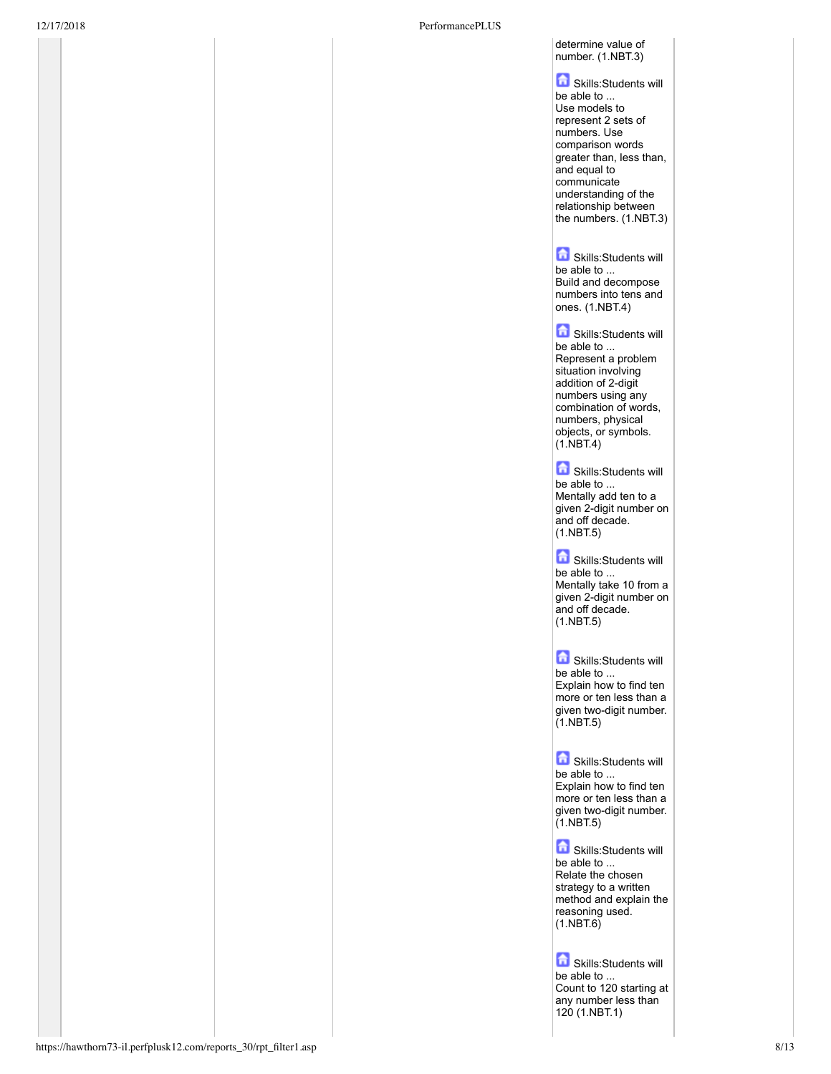### determine value of number. (1.NBT.3)

Skills:Students will be able to ... Use models to represent 2 sets of numbers. Use comparison words greater than, less than, and equal to communicate understanding of the relationship between the numbers. (1.NBT.3)

**G** Skills:Students will be able to ... Build and decompose numbers into tens and ones. (1.NBT.4)

**G** Skills:Students will be able to ... Represent a problem situation involving addition of 2-digit numbers using any combination of words, numbers, physical objects, or symbols.  $(1.$ NBT.4)

**G** Skills:Students will be able to ... Mentally add ten to a given 2-digit number on and off decade.  $(1.NBT.5)$ 

**G** Skills:Students will be able to ... Mentally take 10 from a given 2-digit number on and off decade.  $(1.NBT.5)$ 

**G** Skills:Students will be able to ... Explain how to find ten more or ten less than a given two-digit number. (1.NBT.5)

**G** Skills:Students will be able to ... Explain how to find ten more or ten less than a given two-digit number. (1.NBT.5)

Skills:Students will be able to ... Relate the chosen strategy to a written method and explain the reasoning used.  $(1.$ NBT. $6)$ 

**G** Skills:Students will be able to .. Count to 120 starting at any number less than 120 (1.NBT.1)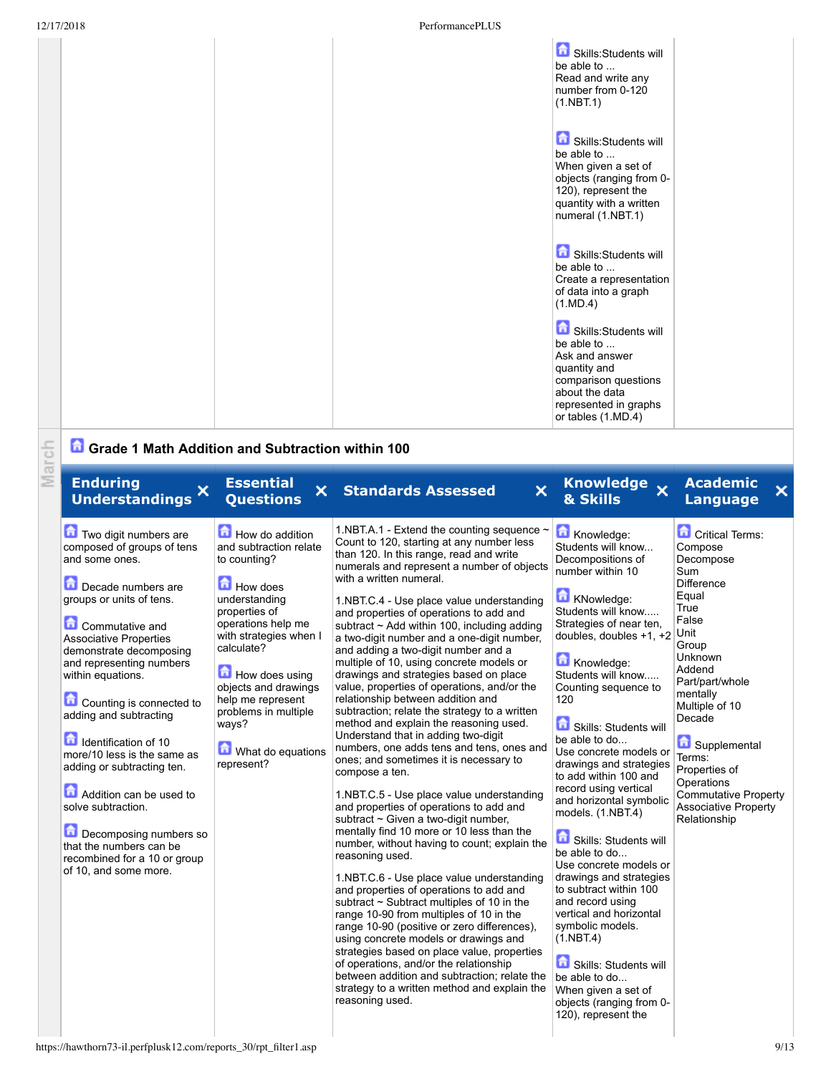|  |  | Skills:Students will<br>be able to<br>Read and write any<br>number from 0-120<br>(1.NBT.1)                                                                      |  |
|--|--|-----------------------------------------------------------------------------------------------------------------------------------------------------------------|--|
|  |  | Skills:Students will<br>be able to<br>When given a set of<br>objects (ranging from 0-<br>120), represent the<br>quantity with a written<br>numeral (1.NBT.1)    |  |
|  |  | Skills:Students will<br>be able to<br>Create a representation<br>of data into a graph<br>(1.MD.4)                                                               |  |
|  |  | Skills:Students will<br>be able to<br>Ask and answer<br>quantity and<br>comparison questions<br>about the data<br>represented in graphs<br>or tables $(1.MD.4)$ |  |

# **Grade 1 Math Addition and Subtraction within 100**

| March | Grade 1 Math Addition and Subtraction within 100                                                                                                                                                                                                                                                                                                                                                                                                                                                                                                                         |                                                                                                                                                                                                                                                                                                          |                                                                                                                                                                                                                                                                                                                                                                                                                                                                                                                                                                                                                                                                                                                                                                                                                                                                                                                                                                                                                                                                                                                                                                                                                                                                                                                                                                                                                                                                                                                                                                                                        |                                                                                                                                                                                                                                                                                                                                                                                                                                                                                                                                                                                                                                                                                                                                                                      |                                                                                                                                                                                                                                                                                                                                       |
|-------|--------------------------------------------------------------------------------------------------------------------------------------------------------------------------------------------------------------------------------------------------------------------------------------------------------------------------------------------------------------------------------------------------------------------------------------------------------------------------------------------------------------------------------------------------------------------------|----------------------------------------------------------------------------------------------------------------------------------------------------------------------------------------------------------------------------------------------------------------------------------------------------------|--------------------------------------------------------------------------------------------------------------------------------------------------------------------------------------------------------------------------------------------------------------------------------------------------------------------------------------------------------------------------------------------------------------------------------------------------------------------------------------------------------------------------------------------------------------------------------------------------------------------------------------------------------------------------------------------------------------------------------------------------------------------------------------------------------------------------------------------------------------------------------------------------------------------------------------------------------------------------------------------------------------------------------------------------------------------------------------------------------------------------------------------------------------------------------------------------------------------------------------------------------------------------------------------------------------------------------------------------------------------------------------------------------------------------------------------------------------------------------------------------------------------------------------------------------------------------------------------------------|----------------------------------------------------------------------------------------------------------------------------------------------------------------------------------------------------------------------------------------------------------------------------------------------------------------------------------------------------------------------------------------------------------------------------------------------------------------------------------------------------------------------------------------------------------------------------------------------------------------------------------------------------------------------------------------------------------------------------------------------------------------------|---------------------------------------------------------------------------------------------------------------------------------------------------------------------------------------------------------------------------------------------------------------------------------------------------------------------------------------|
|       | <b>Enduring</b><br>X<br><b>Understandings</b>                                                                                                                                                                                                                                                                                                                                                                                                                                                                                                                            | <b>Essential</b><br><b>Questions</b>                                                                                                                                                                                                                                                                     | ×<br><b>X</b> Standards Assessed                                                                                                                                                                                                                                                                                                                                                                                                                                                                                                                                                                                                                                                                                                                                                                                                                                                                                                                                                                                                                                                                                                                                                                                                                                                                                                                                                                                                                                                                                                                                                                       | Knowledge x<br>& Skills                                                                                                                                                                                                                                                                                                                                                                                                                                                                                                                                                                                                                                                                                                                                              | <b>Academic</b><br>×<br><b>Language</b>                                                                                                                                                                                                                                                                                               |
|       | Two digit numbers are<br>composed of groups of tens<br>and some ones.<br>Decade numbers are<br>groups or units of tens.<br><b>Commutative and</b><br><b>Associative Properties</b><br>demonstrate decomposing<br>and representing numbers<br>within equations.<br>Counting is connected to<br>adding and subtracting<br>Identification of 10<br>more/10 less is the same as<br>adding or subtracting ten.<br>Addition can be used to<br>solve subtraction.<br>Decomposing numbers so<br>that the numbers can be<br>recombined for a 10 or group<br>of 10, and some more. | How do addition<br>and subtraction relate<br>to counting?<br>How does<br>understanding<br>properties of<br>operations help me<br>with strategies when I<br>calculate?<br>How does using<br>objects and drawings<br>help me represent<br>problems in multiple<br>ways?<br>What do equations<br>represent? | 1.NBT.A.1 - Extend the counting sequence ~<br>Count to 120, starting at any number less<br>than 120. In this range, read and write<br>numerals and represent a number of objects<br>with a written numeral.<br>1.NBT.C.4 - Use place value understanding<br>and properties of operations to add and<br>subtract ~ Add within 100, including adding<br>a two-digit number and a one-digit number,<br>and adding a two-digit number and a<br>multiple of 10, using concrete models or<br>drawings and strategies based on place<br>value, properties of operations, and/or the<br>relationship between addition and<br>subtraction; relate the strategy to a written<br>method and explain the reasoning used.<br>Understand that in adding two-digit<br>numbers, one adds tens and tens, ones and<br>ones; and sometimes it is necessary to<br>compose a ten.<br>1.NBT.C.5 - Use place value understanding<br>and properties of operations to add and<br>subtract ~ Given a two-digit number,<br>mentally find 10 more or 10 less than the<br>number, without having to count; explain the<br>reasoning used.<br>1.NBT.C.6 - Use place value understanding<br>and properties of operations to add and<br>subtract $\sim$ Subtract multiples of 10 in the<br>range 10-90 from multiples of 10 in the<br>range 10-90 (positive or zero differences),<br>using concrete models or drawings and<br>strategies based on place value, properties<br>of operations, and/or the relationship<br>between addition and subtraction; relate the<br>strategy to a written method and explain the<br>reasoning used. | Knowledge:<br>Students will know<br>Decompositions of<br>number within 10<br>KNowledge:<br>Students will know<br>Strategies of near ten,<br>doubles, doubles +1, +2<br>Knowledge:<br>Students will know<br>Counting sequence to<br>120<br>Skills: Students will<br>be able to do<br>Use concrete models or<br>drawings and strategies<br>to add within 100 and<br>record using vertical<br>and horizontal symbolic<br>models. (1.NBT.4)<br>Skills: Students will<br>be able to do<br>Use concrete models or<br>drawings and strategies<br>to subtract within 100<br>and record using<br>vertical and horizontal<br>symbolic models.<br>(1.NBT.4)<br>Skills: Students will<br>be able to do<br>When given a set of<br>objects (ranging from 0-<br>120), represent the | Critical Terms:<br>Compose<br>Decompose<br>Sum<br><b>Difference</b><br>Equal<br>True<br>False<br>Unit<br>Group<br>Unknown<br>Addend<br>Part/part/whole<br>mentally<br>Multiple of 10<br>Decade<br>Supplemental<br>Terms:<br>Properties of<br>Operations<br><b>Commutative Property</b><br><b>Associative Property</b><br>Relationship |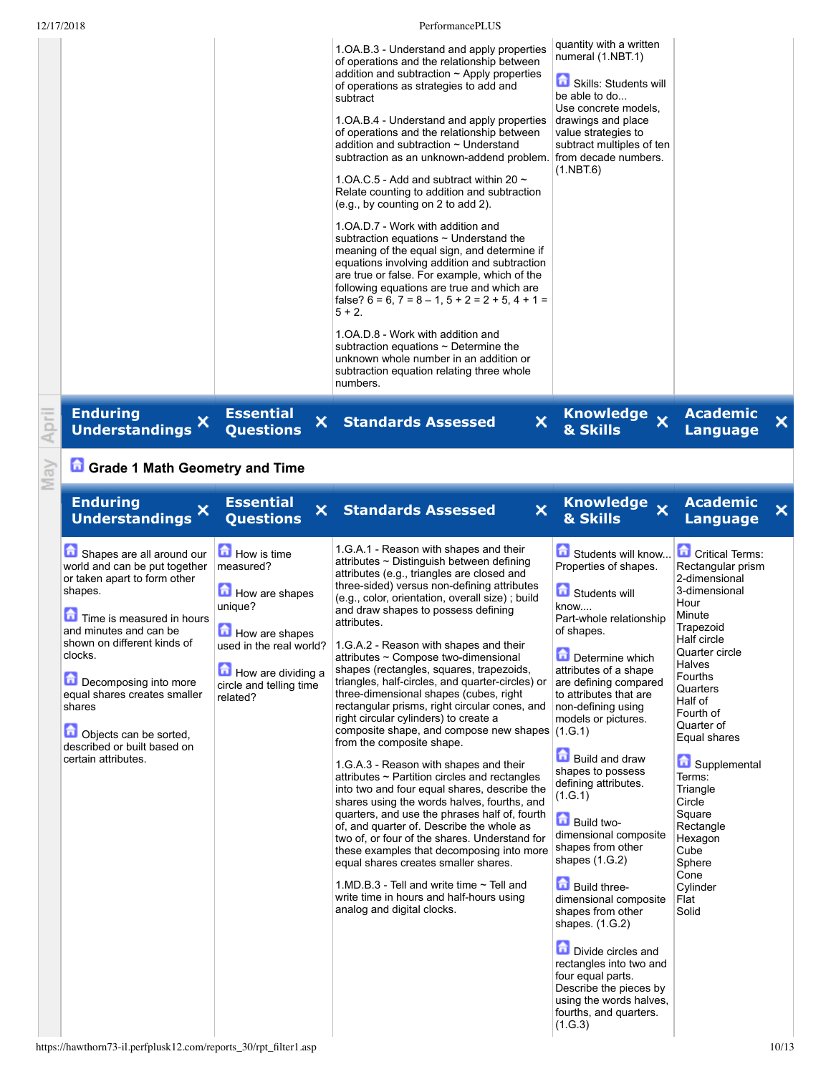| 12/17/2018 |                                                                                                                                                                                                                                                                                                                                                                                                                                    |                                                                                                                                                                        | PerformancePLUS                                                                                                                                                                                                                                                                                                                                                                                                                                                                                                                                                                                                                                                                                                                                                                                                                                                                                                                                                                                                                                                                                                                                                                                                                                                     |                                                                                                                                                                                                                                                                                                                                                                                                                                                                                                                                                                                                                                                                                        |                                                                                                                                                                                                                                                                                                                                                                        |       |
|------------|------------------------------------------------------------------------------------------------------------------------------------------------------------------------------------------------------------------------------------------------------------------------------------------------------------------------------------------------------------------------------------------------------------------------------------|------------------------------------------------------------------------------------------------------------------------------------------------------------------------|---------------------------------------------------------------------------------------------------------------------------------------------------------------------------------------------------------------------------------------------------------------------------------------------------------------------------------------------------------------------------------------------------------------------------------------------------------------------------------------------------------------------------------------------------------------------------------------------------------------------------------------------------------------------------------------------------------------------------------------------------------------------------------------------------------------------------------------------------------------------------------------------------------------------------------------------------------------------------------------------------------------------------------------------------------------------------------------------------------------------------------------------------------------------------------------------------------------------------------------------------------------------|----------------------------------------------------------------------------------------------------------------------------------------------------------------------------------------------------------------------------------------------------------------------------------------------------------------------------------------------------------------------------------------------------------------------------------------------------------------------------------------------------------------------------------------------------------------------------------------------------------------------------------------------------------------------------------------|------------------------------------------------------------------------------------------------------------------------------------------------------------------------------------------------------------------------------------------------------------------------------------------------------------------------------------------------------------------------|-------|
|            |                                                                                                                                                                                                                                                                                                                                                                                                                                    |                                                                                                                                                                        | 1.OA.B.3 - Understand and apply properties<br>of operations and the relationship between<br>addition and subtraction $\sim$ Apply properties<br>of operations as strategies to add and<br>subtract<br>1.OA.B.4 - Understand and apply properties<br>of operations and the relationship between<br>addition and subtraction ~ Understand<br>subtraction as an unknown-addend problem. from decade numbers.<br>1.0A, C.5 - Add and subtract within 20 $\sim$<br>Relate counting to addition and subtraction<br>(e.g., by counting on 2 to add 2).<br>1. OA.D. 7 - Work with addition and<br>subtraction equations $\sim$ Understand the<br>meaning of the equal sign, and determine if<br>equations involving addition and subtraction<br>are true or false. For example, which of the<br>following equations are true and which are<br>false? $6 = 6$ , $7 = 8 - 1$ , $5 + 2 = 2 + 5$ , $4 + 1 =$<br>$5 + 2.$<br>1. OA. D. 8 - Work with addition and<br>subtraction equations $\sim$ Determine the<br>unknown whole number in an addition or<br>subtraction equation relating three whole<br>numbers.                                                                                                                                                               | quantity with a written<br>numeral (1.NBT.1)<br>Skills: Students will<br>be able to do<br>Use concrete models,<br>drawings and place<br>value strategies to<br>subtract multiples of ten<br>(1.NBT.6)                                                                                                                                                                                                                                                                                                                                                                                                                                                                                  |                                                                                                                                                                                                                                                                                                                                                                        |       |
| April      | <b>Enduring</b><br>×<br><b>Understandings</b>                                                                                                                                                                                                                                                                                                                                                                                      | <b>Essential</b><br>×<br><b>Questions</b>                                                                                                                              | $\boldsymbol{\mathsf{x}}$<br><b>Standards Assessed</b>                                                                                                                                                                                                                                                                                                                                                                                                                                                                                                                                                                                                                                                                                                                                                                                                                                                                                                                                                                                                                                                                                                                                                                                                              | Knowledge x<br>& Skills                                                                                                                                                                                                                                                                                                                                                                                                                                                                                                                                                                                                                                                                | <b>Academic</b><br><b>Language</b>                                                                                                                                                                                                                                                                                                                                     | ×     |
| May        | <b>Grade 1 Math Geometry and Time</b>                                                                                                                                                                                                                                                                                                                                                                                              |                                                                                                                                                                        |                                                                                                                                                                                                                                                                                                                                                                                                                                                                                                                                                                                                                                                                                                                                                                                                                                                                                                                                                                                                                                                                                                                                                                                                                                                                     |                                                                                                                                                                                                                                                                                                                                                                                                                                                                                                                                                                                                                                                                                        |                                                                                                                                                                                                                                                                                                                                                                        |       |
|            | <b>Enduring</b><br>×<br><b>Understandings</b>                                                                                                                                                                                                                                                                                                                                                                                      | <b>Essential</b><br>×<br><b>Questions</b>                                                                                                                              | $\pmb{\times}$<br><b>Standards Assessed</b>                                                                                                                                                                                                                                                                                                                                                                                                                                                                                                                                                                                                                                                                                                                                                                                                                                                                                                                                                                                                                                                                                                                                                                                                                         | Knowledge x<br>& Skills                                                                                                                                                                                                                                                                                                                                                                                                                                                                                                                                                                                                                                                                | <b>Academic</b><br><b>Language</b>                                                                                                                                                                                                                                                                                                                                     | ×     |
|            | Shapes are all around our<br>world and can be put together<br>or taken apart to form other<br>shapes.<br>Time is measured in hours<br>and minutes and can be<br>shown on different kinds of<br>clocks.<br>Decomposing into more<br>equal shares creates smaller<br>shares<br>鱼<br>Objects can be sorted,<br>described or built based on<br>certain attributes.<br>https://hawthorn73-il.perfplusk12.com/reports_30/rpt_filter1.asp | How is time<br>measured?<br>How are shapes<br>unique?<br>$\Box$ How are shapes<br>used in the real world?<br>How are dividing a<br>circle and telling time<br>related? | 1.G.A.1 - Reason with shapes and their<br>attributes ~ Distinguish between defining<br>attributes (e.g., triangles are closed and<br>three-sided) versus non-defining attributes<br>(e.g., color, orientation, overall size); build<br>and draw shapes to possess defining<br>attributes.<br>1.G.A.2 - Reason with shapes and their<br>attributes ~ Compose two-dimensional<br>shapes (rectangles, squares, trapezoids,<br>triangles, half-circles, and quarter-circles) or<br>three-dimensional shapes (cubes, right<br>rectangular prisms, right circular cones, and<br>right circular cylinders) to create a<br>composite shape, and compose new shapes $(1.G.1)$<br>from the composite shape.<br>1.G.A.3 - Reason with shapes and their<br>attributes $\sim$ Partition circles and rectangles<br>into two and four equal shares, describe the<br>shares using the words halves, fourths, and<br>quarters, and use the phrases half of, fourth<br>of, and quarter of. Describe the whole as<br>two of, or four of the shares. Understand for<br>these examples that decomposing into more<br>equal shares creates smaller shares.<br>1. MD B $3$ - Tell and write time $\sim$ Tell and<br>write time in hours and half-hours using<br>analog and digital clocks. | Students will know<br>Properties of shapes.<br>Students will<br>know<br>Part-whole relationship<br>of shapes.<br>Determine which<br>attributes of a shape<br>are defining compared<br>to attributes that are<br>non-defining using<br>models or pictures.<br><b>Build and draw</b><br>shapes to possess<br>defining attributes.<br>(1. G. 1)<br>Build two-<br>dimensional composite<br>shapes from other<br>shapes $(1.G.2)$<br><b>Build three-</b><br>dimensional composite<br>shapes from other<br>shapes. $(1.G.2)$<br>Divide circles and<br>rectangles into two and<br>four equal parts.<br>Describe the pieces by<br>using the words halves,<br>fourths, and quarters.<br>(1.G.3) | Critical Terms:<br>Rectangular prism<br>2-dimensional<br>3-dimensional<br>Hour<br>Minute<br>Trapezoid<br>Half circle<br>Quarter circle<br>Halves<br>Fourths<br>Quarters<br>Half of<br>Fourth of<br>Quarter of<br>Equal shares<br>Supplemental<br>Terms:<br>Triangle<br>Circle<br>Square<br>Rectangle<br>Hexagon<br>Cube<br>Sphere<br>Cone<br>Cylinder<br>Flat<br>Solid | 10/13 |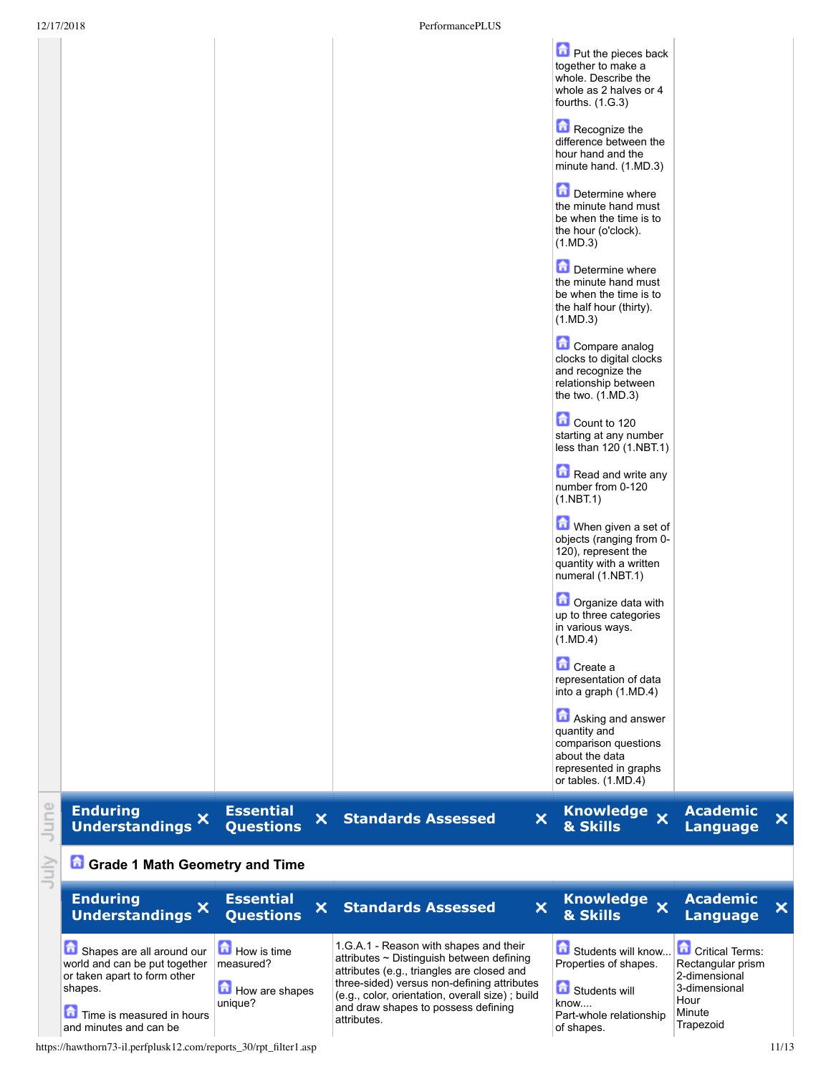|             | 12/17/2018<br>PerformancePLUS                                                                                                      |                                                        |                                                                                                                                                                                                                                                                                            |                                                                                                                             |                                                                                                 |       |
|-------------|------------------------------------------------------------------------------------------------------------------------------------|--------------------------------------------------------|--------------------------------------------------------------------------------------------------------------------------------------------------------------------------------------------------------------------------------------------------------------------------------------------|-----------------------------------------------------------------------------------------------------------------------------|-------------------------------------------------------------------------------------------------|-------|
|             |                                                                                                                                    |                                                        |                                                                                                                                                                                                                                                                                            | Put the pieces back<br>together to make a<br>whole. Describe the<br>whole as 2 halves or 4<br>fourths. $(1.G.3)$            |                                                                                                 |       |
|             |                                                                                                                                    |                                                        |                                                                                                                                                                                                                                                                                            | Recognize the<br>difference between the<br>hour hand and the<br>minute hand. (1.MD.3)                                       |                                                                                                 |       |
|             |                                                                                                                                    |                                                        |                                                                                                                                                                                                                                                                                            | Determine where<br>the minute hand must<br>be when the time is to<br>the hour (o'clock).<br>(1.MD.3)                        |                                                                                                 |       |
|             |                                                                                                                                    |                                                        |                                                                                                                                                                                                                                                                                            | Determine where<br>the minute hand must<br>be when the time is to<br>the half hour (thirty).<br>(1.MD.3)                    |                                                                                                 |       |
|             |                                                                                                                                    |                                                        |                                                                                                                                                                                                                                                                                            | Compare analog<br>clocks to digital clocks<br>and recognize the<br>relationship between<br>the two. (1.MD.3)                |                                                                                                 |       |
|             |                                                                                                                                    |                                                        |                                                                                                                                                                                                                                                                                            | Count to 120<br>starting at any number<br>less than 120 (1.NBT.1)                                                           |                                                                                                 |       |
|             |                                                                                                                                    |                                                        |                                                                                                                                                                                                                                                                                            | Read and write any<br>number from 0-120<br>(1.NBT.1)                                                                        |                                                                                                 |       |
|             |                                                                                                                                    |                                                        |                                                                                                                                                                                                                                                                                            | When given a set of<br>objects (ranging from 0-<br>120), represent the<br>quantity with a written<br>numeral (1.NBT.1)      |                                                                                                 |       |
|             |                                                                                                                                    |                                                        |                                                                                                                                                                                                                                                                                            | Organize data with<br>up to three categories<br>in various ways.<br>$(1 \text{ MD}.4)$                                      |                                                                                                 |       |
|             |                                                                                                                                    |                                                        |                                                                                                                                                                                                                                                                                            | Create a<br>representation of data<br>into a graph (1.MD.4)                                                                 |                                                                                                 |       |
|             |                                                                                                                                    |                                                        |                                                                                                                                                                                                                                                                                            | Asking and answer<br>quantity and<br>comparison questions<br>about the data<br>represented in graphs<br>or tables. (1.MD.4) |                                                                                                 |       |
| lune        | <b>Enduring</b><br>Understandings <sup>X</sup>                                                                                     | <b>Essential</b><br>×.<br><b>Questions</b>             | $\boldsymbol{\mathsf{x}}$<br><b>Standards Assessed</b>                                                                                                                                                                                                                                     | Knowledge x<br>& Skills                                                                                                     | <b>Academic</b><br><b>Language</b>                                                              | ×     |
| <b>July</b> | <b>Grade 1 Math Geometry and Time</b>                                                                                              |                                                        |                                                                                                                                                                                                                                                                                            |                                                                                                                             |                                                                                                 |       |
|             | <b>Enduring</b><br>Understandings X                                                                                                | <b>Essential</b><br>$\mathsf{x}^-$<br><b>Questions</b> | $\boldsymbol{\mathsf{x}}$<br><b>Standards Assessed</b>                                                                                                                                                                                                                                     | Knowledge x<br>& Skills                                                                                                     | <b>Academic</b><br><b>Language</b>                                                              | ×     |
|             | Shapes are all around our<br>world and can be put together<br>or taken apart to form other<br>shapes.<br>Time is measured in hours | How is time<br>measured?<br>How are shapes<br>unique?  | 1.G.A.1 - Reason with shapes and their<br>attributes ~ Distinguish between defining<br>attributes (e.g., triangles are closed and<br>three-sided) versus non-defining attributes<br>(e.g., color, orientation, overall size) ; build<br>and draw shapes to possess defining<br>attributes. | Students will know<br>Properties of shapes.<br>Students will<br>know<br>Part-whole relationship                             | <b>Critical Terms:</b><br>Rectangular prism<br>2-dimensional<br>3-dimensional<br>Hour<br>Minute |       |
|             | and minutes and can be<br>https://hawthorn73-il.perfplusk12.com/reports_30/rpt_filter1.asp                                         |                                                        |                                                                                                                                                                                                                                                                                            | of shapes.                                                                                                                  | Trapezoid                                                                                       | 11/13 |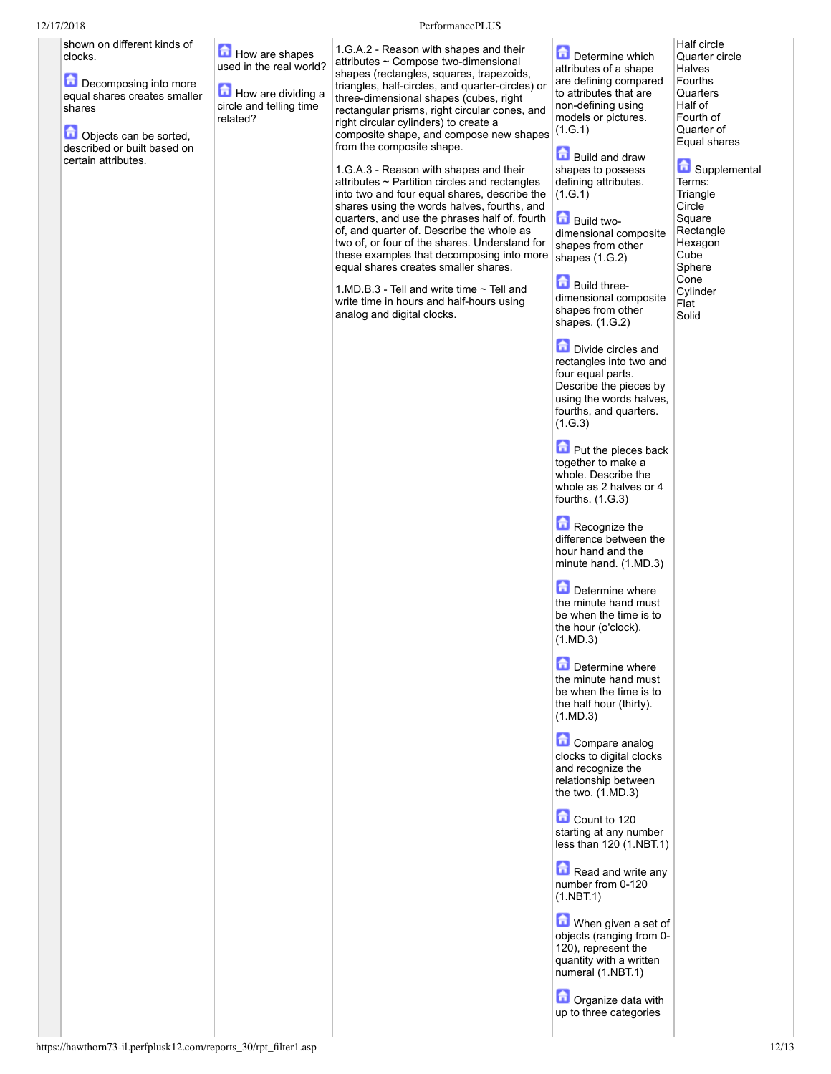| 12/17/2018                                                                                                                                                                                |                                                                                                        | PerformancePLUS                                                                                                                                                                                                                                                                                                                                                                                                                                                                                                                                                                                                                                                                                                                                                                                                                                                                                                                                           |                                                                                                                                                                                                                                                                                                                                                                                                                                                                                                                                                                                                                                                                                                                                                                                                                                                                                                                                                                                                                                                                                                                                                                                                                                                                                                                                                    |                                                                                                                                                                                                                                                               |
|-------------------------------------------------------------------------------------------------------------------------------------------------------------------------------------------|--------------------------------------------------------------------------------------------------------|-----------------------------------------------------------------------------------------------------------------------------------------------------------------------------------------------------------------------------------------------------------------------------------------------------------------------------------------------------------------------------------------------------------------------------------------------------------------------------------------------------------------------------------------------------------------------------------------------------------------------------------------------------------------------------------------------------------------------------------------------------------------------------------------------------------------------------------------------------------------------------------------------------------------------------------------------------------|----------------------------------------------------------------------------------------------------------------------------------------------------------------------------------------------------------------------------------------------------------------------------------------------------------------------------------------------------------------------------------------------------------------------------------------------------------------------------------------------------------------------------------------------------------------------------------------------------------------------------------------------------------------------------------------------------------------------------------------------------------------------------------------------------------------------------------------------------------------------------------------------------------------------------------------------------------------------------------------------------------------------------------------------------------------------------------------------------------------------------------------------------------------------------------------------------------------------------------------------------------------------------------------------------------------------------------------------------|---------------------------------------------------------------------------------------------------------------------------------------------------------------------------------------------------------------------------------------------------------------|
| shown on different kinds of<br>clocks.<br>Decomposing into more<br>equal shares creates smaller<br>shares<br>Objects can be sorted,<br>described or built based on<br>certain attributes. | How are shapes<br>used in the real world?<br>How are dividing a<br>circle and telling time<br>related? | 1.G.A.2 - Reason with shapes and their<br>attributes ~ Compose two-dimensional<br>shapes (rectangles, squares, trapezoids,<br>triangles, half-circles, and quarter-circles) or<br>three-dimensional shapes (cubes, right<br>rectangular prisms, right circular cones, and<br>right circular cylinders) to create a<br>composite shape, and compose new shapes<br>from the composite shape.<br>1.G.A.3 - Reason with shapes and their<br>attributes $\sim$ Partition circles and rectangles<br>into two and four equal shares, describe the<br>shares using the words halves, fourths, and<br>quarters, and use the phrases half of, fourth<br>of, and quarter of. Describe the whole as<br>two of, or four of the shares. Understand for<br>these examples that decomposing into more<br>equal shares creates smaller shares.<br>1.MD.B.3 - Tell and write time $\sim$ Tell and<br>write time in hours and half-hours using<br>analog and digital clocks. | Determine which<br>attributes of a shape<br>are defining compared<br>to attributes that are<br>non-defining using<br>models or pictures.<br>(1.G.1)<br><b>Build and draw</b><br>shapes to possess<br>defining attributes.<br>(1.G.1)<br><b>Build</b> two-<br>dimensional composite<br>shapes from other<br>shapes (1.G.2)<br><b>Build three-</b><br>dimensional composite<br>shapes from other<br>shapes. (1.G.2)<br>Divide circles and<br>rectangles into two and<br>four equal parts.<br>Describe the pieces by<br>using the words halves,<br>fourths, and quarters.<br>(1.G.3)<br><b>D</b> Put the pieces back<br>together to make a<br>whole. Describe the<br>whole as 2 halves or 4<br>fourths. $(1.G.3)$<br>Recognize the<br>difference between the<br>hour hand and the<br>minute hand. (1.MD.3)<br>Determine where<br>the minute hand must<br>be when the time is to<br>the hour (o'clock).<br>(1.MD.3)<br>Determine where<br>the minute hand must<br>be when the time is to<br>the half hour (thirty).<br>(1.MD.3)<br>Compare analog<br>clocks to digital clocks<br>and recognize the<br>relationship between<br>the two. (1.MD.3)<br>Count to 120<br>starting at any number<br>less than 120 (1.NBT.1)<br>Read and write any<br>number from 0-120<br>(1.NBT.1)<br>When given a set of<br>objects (ranging from 0-<br>120), represent the | Half circle<br>Quarter circle<br>Halves<br>Fourths<br>Quarters<br>Half of<br>Fourth of<br>Quarter of<br>Equal shares<br>Supplemental<br>Terms:<br>Triangle<br>Circle<br>Square<br>Rectangle<br>Hexagon<br>Cube<br>Sphere<br>Cone<br>Cylinder<br>Flat<br>Solid |

quantity with a written numeral (1.NBT.1)

Organize data with up to three categories